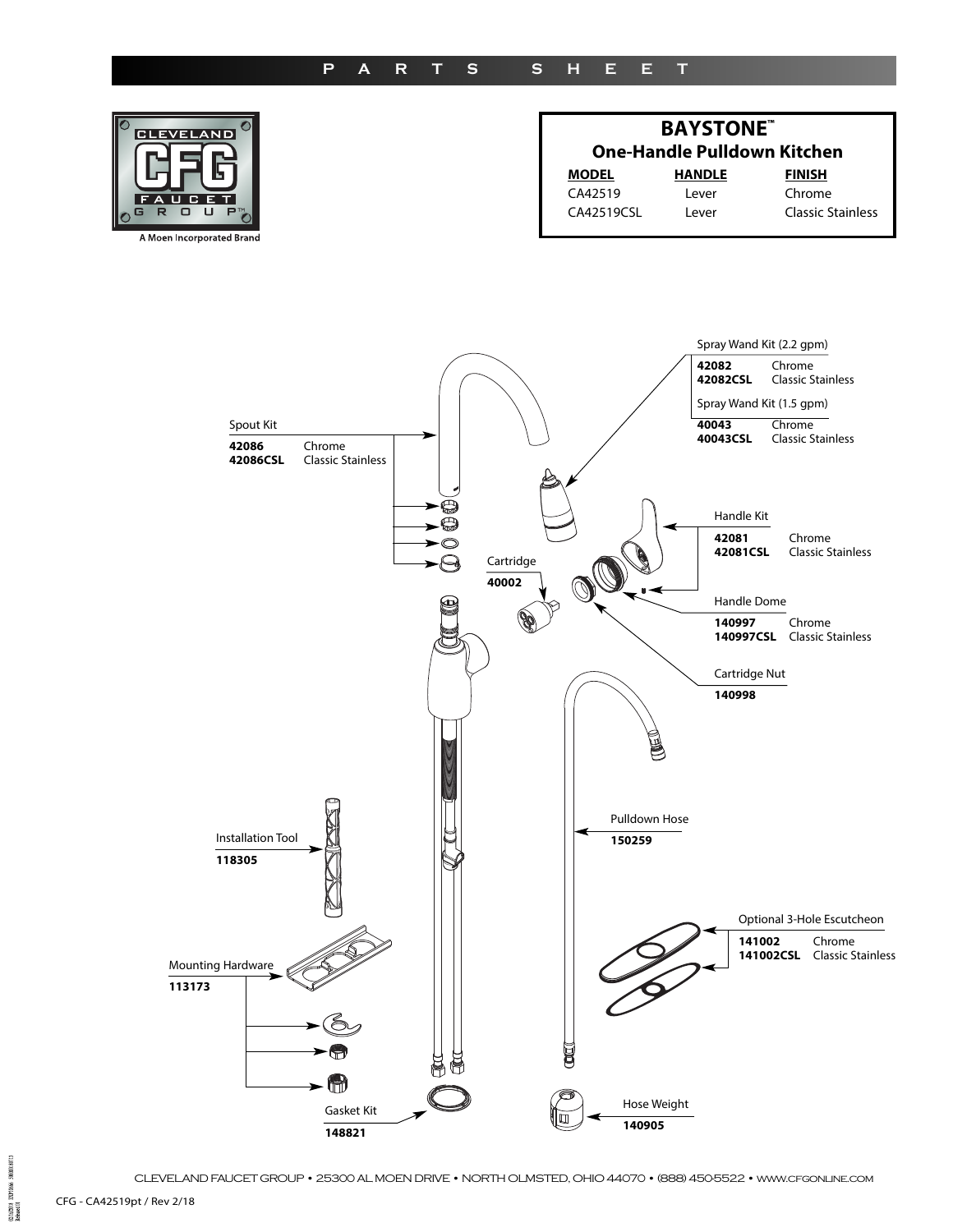## **p a r t s s H E E t**





CLEVELAND FAUCET GROUP • 25300 AL MOEN DRIVE • NORTH OLMSTED, OHIO 44070 • (888) 450-5522 • www.cfgonline.com